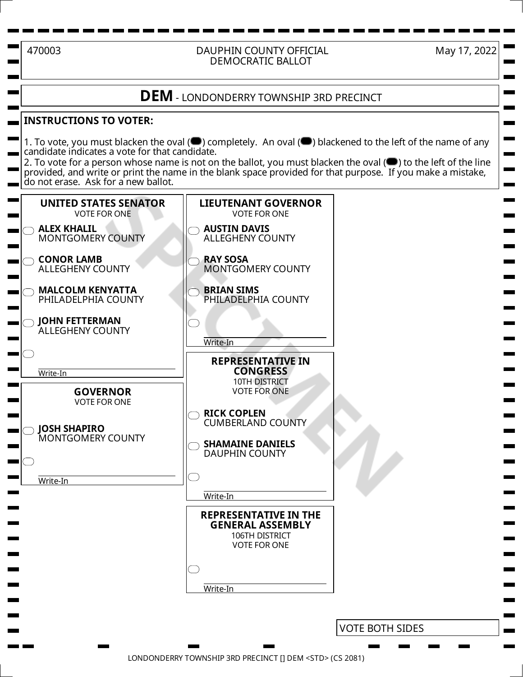## 470003 DAUPHIN COUNTY OFFICIAL DEMOCRATIC BALLOT

May 17, 2022

## **DEM** - LONDONDERRY TOWNSHIP 3RD PRECINCT

## **INSTRUCTIONS TO VOTER:**

1. To vote, you must blacken the oval ( $\bigcirc$ ) completely. An oval ( $\bigcirc$ ) blackened to the left of the name of any candidate indicates a vote for that candidate.

2. To vote for a person whose name is not on the ballot, you must blacken the oval ( $\blacksquare$ ) to the left of the line provided, and write or print the name in the blank space provided for that purpose. If you make a mistake, do not erase. Ask for a new ballot.



VOTE BOTH SIDES